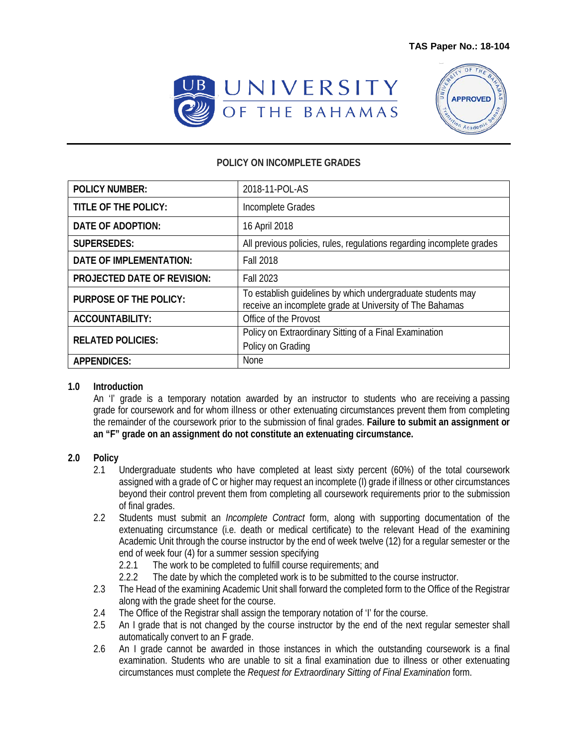



## **POLICY ON INCOMPLETE GRADES**

| <b>POLICY NUMBER:</b>              | 2018-11-POL-AS                                                                                                          |
|------------------------------------|-------------------------------------------------------------------------------------------------------------------------|
| TITLE OF THE POLICY:               | Incomplete Grades                                                                                                       |
| DATE OF ADOPTION:                  | 16 April 2018                                                                                                           |
| <b>SUPERSEDES:</b>                 | All previous policies, rules, regulations regarding incomplete grades                                                   |
| <b>DATE OF IMPLEMENTATION:</b>     | <b>Fall 2018</b>                                                                                                        |
| <b>PROJECTED DATE OF REVISION:</b> | <b>Fall 2023</b>                                                                                                        |
| <b>PURPOSE OF THE POLICY:</b>      | To establish guidelines by which undergraduate students may<br>receive an incomplete grade at University of The Bahamas |
| <b>ACCOUNTABILITY:</b>             | Office of the Provost                                                                                                   |
| <b>RELATED POLICIES:</b>           | Policy on Extraordinary Sitting of a Final Examination<br>Policy on Grading                                             |
| <b>APPENDICES:</b>                 | None                                                                                                                    |

## **1.0 Introduction**

An 'I' grade is a temporary notation awarded by an instructor to students who are receiving a passing grade for coursework and for whom illness or other extenuating circumstances prevent them from completing the remainder of the coursework prior to the submission of final grades. **Failure to submit an assignment or an "F" grade on an assignment do not constitute an extenuating circumstance.**

## **2.0 Policy**

- 2.1 Undergraduate students who have completed at least sixty percent (60%) of the total coursework assigned with a grade of C or higher may request an incomplete (I) grade if illness or other circumstances beyond their control prevent them from completing all coursework requirements prior to the submission of final grades.
- 2.2 Students must submit an *Incomplete Contract* form, along with supporting documentation of the extenuating circumstance (i.e. death or medical certificate) to the relevant Head of the examining Academic Unit through the course instructor by the end of week twelve (12) for a regular semester or the end of week four (4) for a summer session specifying
	- 2.2.1 The work to be completed to fulfill course requirements; and
	- 2.2.2 The date by which the completed work is to be submitted to the course instructor.
- 2.3 The Head of the examining Academic Unit shall forward the completed form to the Office of the Registrar along with the grade sheet for the course.
- 2.4 The Office of the Registrar shall assign the temporary notation of 'I' for the course.
- 2.5 An I grade that is not changed by the course instructor by the end of the next regular semester shall automatically convert to an F grade.
- 2.6 An I grade cannot be awarded in those instances in which the outstanding coursework is a final examination. Students who are unable to sit a final examination due to illness or other extenuating circumstances must complete the *Request for Extraordinary Sitting of Final Examination* form.